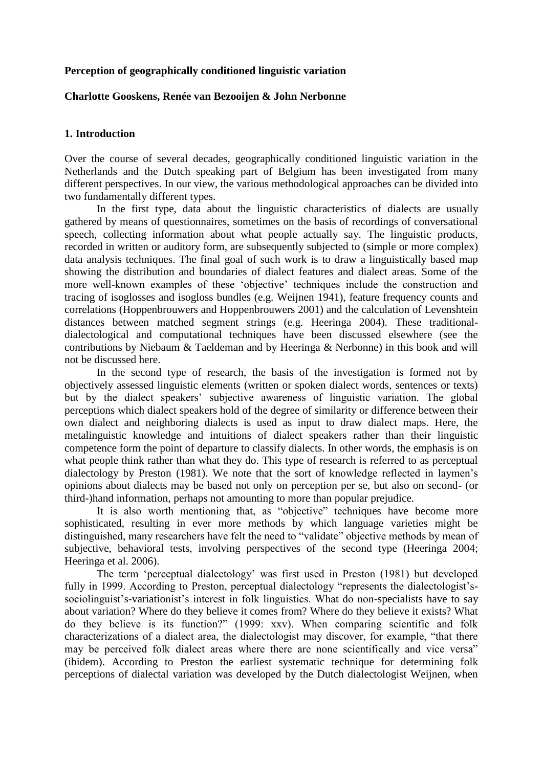# **Perception of geographically conditioned linguistic variation**

# **Charlotte Gooskens, Renée van Bezooijen & John Nerbonne**

# **1. Introduction**

Over the course of several decades, geographically conditioned linguistic variation in the Netherlands and the Dutch speaking part of Belgium has been investigated from many different perspectives. In our view, the various methodological approaches can be divided into two fundamentally different types.

In the first type, data about the linguistic characteristics of dialects are usually gathered by means of questionnaires, sometimes on the basis of recordings of conversational speech, collecting information about what people actually say. The linguistic products, recorded in written or auditory form, are subsequently subjected to (simple or more complex) data analysis techniques. The final goal of such work is to draw a linguistically based map showing the distribution and boundaries of dialect features and dialect areas. Some of the more well-known examples of these 'objective' techniques include the construction and tracing of isoglosses and isogloss bundles (e.g. Weijnen 1941), feature frequency counts and correlations (Hoppenbrouwers and Hoppenbrouwers 2001) and the calculation of Levenshtein distances between matched segment strings (e.g. Heeringa 2004). These traditionaldialectological and computational techniques have been discussed elsewhere (see the contributions by Niebaum & Taeldeman and by Heeringa & Nerbonne) in this book and will not be discussed here.

In the second type of research, the basis of the investigation is formed not by objectively assessed linguistic elements (written or spoken dialect words, sentences or texts) but by the dialect speakers' subjective awareness of linguistic variation. The global perceptions which dialect speakers hold of the degree of similarity or difference between their own dialect and neighboring dialects is used as input to draw dialect maps. Here, the metalinguistic knowledge and intuitions of dialect speakers rather than their linguistic competence form the point of departure to classify dialects. In other words, the emphasis is on what people think rather than what they do. This type of research is referred to as perceptual dialectology by Preston (1981). We note that the sort of knowledge reflected in laymen's opinions about dialects may be based not only on perception per se, but also on second- (or third-)hand information, perhaps not amounting to more than popular prejudice.

It is also worth mentioning that, as "objective" techniques have become more sophisticated, resulting in ever more methods by which language varieties might be distinguished, many researchers have felt the need to "validate" objective methods by mean of subjective, behavioral tests, involving perspectives of the second type (Heeringa 2004; Heeringa et al. 2006).

The term 'perceptual dialectology' was first used in Preston (1981) but developed fully in 1999. According to Preston, perceptual dialectology "represents the dialectologist'ssociolinguist's-variationist's interest in folk linguistics. What do non-specialists have to say about variation? Where do they believe it comes from? Where do they believe it exists? What do they believe is its function?" (1999: xxv). When comparing scientific and folk characterizations of a dialect area, the dialectologist may discover, for example, "that there may be perceived folk dialect areas where there are none scientifically and vice versa" (ibidem). According to Preston the earliest systematic technique for determining folk perceptions of dialectal variation was developed by the Dutch dialectologist Weijnen, when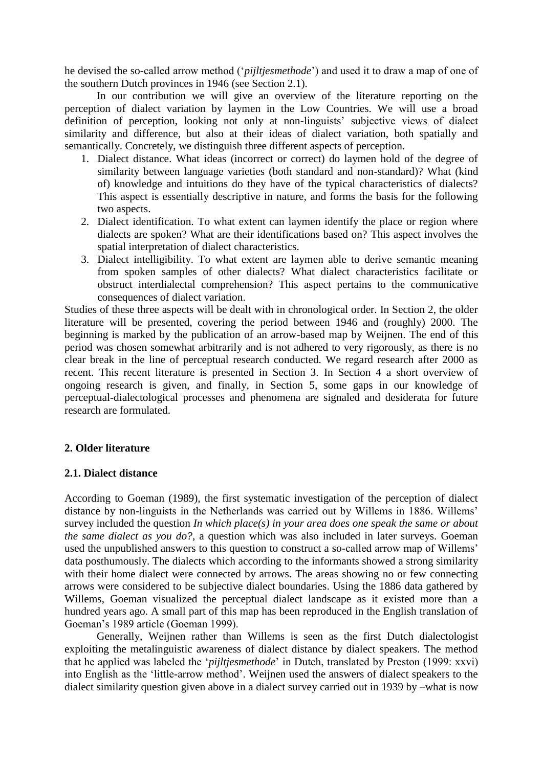he devised the so-called arrow method ('*pijltjesmethode*') and used it to draw a map of one of the southern Dutch provinces in 1946 (see Section 2.1).

In our contribution we will give an overview of the literature reporting on the perception of dialect variation by laymen in the Low Countries. We will use a broad definition of perception, looking not only at non-linguists' subjective views of dialect similarity and difference, but also at their ideas of dialect variation, both spatially and semantically. Concretely, we distinguish three different aspects of perception.

- 1. Dialect distance. What ideas (incorrect or correct) do laymen hold of the degree of similarity between language varieties (both standard and non-standard)? What (kind of) knowledge and intuitions do they have of the typical characteristics of dialects? This aspect is essentially descriptive in nature, and forms the basis for the following two aspects.
- 2. Dialect identification. To what extent can laymen identify the place or region where dialects are spoken? What are their identifications based on? This aspect involves the spatial interpretation of dialect characteristics.
- 3. Dialect intelligibility. To what extent are laymen able to derive semantic meaning from spoken samples of other dialects? What dialect characteristics facilitate or obstruct interdialectal comprehension? This aspect pertains to the communicative consequences of dialect variation.

Studies of these three aspects will be dealt with in chronological order. In Section 2, the older literature will be presented, covering the period between 1946 and (roughly) 2000. The beginning is marked by the publication of an arrow-based map by Weijnen. The end of this period was chosen somewhat arbitrarily and is not adhered to very rigorously, as there is no clear break in the line of perceptual research conducted. We regard research after 2000 as recent. This recent literature is presented in Section 3. In Section 4 a short overview of ongoing research is given, and finally, in Section 5, some gaps in our knowledge of perceptual-dialectological processes and phenomena are signaled and desiderata for future research are formulated.

# **2. Older literature**

# **2.1. Dialect distance**

According to Goeman (1989), the first systematic investigation of the perception of dialect distance by non-linguists in the Netherlands was carried out by Willems in 1886. Willems' survey included the question *In which place(s) in your area does one speak the same or about the same dialect as you do?*, a question which was also included in later surveys. Goeman used the unpublished answers to this question to construct a so-called arrow map of Willems' data posthumously. The dialects which according to the informants showed a strong similarity with their home dialect were connected by arrows. The areas showing no or few connecting arrows were considered to be subjective dialect boundaries. Using the 1886 data gathered by Willems, Goeman visualized the perceptual dialect landscape as it existed more than a hundred years ago. A small part of this map has been reproduced in the English translation of Goeman's 1989 article (Goeman 1999).

Generally, Weijnen rather than Willems is seen as the first Dutch dialectologist exploiting the metalinguistic awareness of dialect distance by dialect speakers. The method that he applied was labeled the '*pijltjesmethode*' in Dutch, translated by Preston (1999: xxvi) into English as the 'little-arrow method'. Weijnen used the answers of dialect speakers to the dialect similarity question given above in a dialect survey carried out in 1939 by –what is now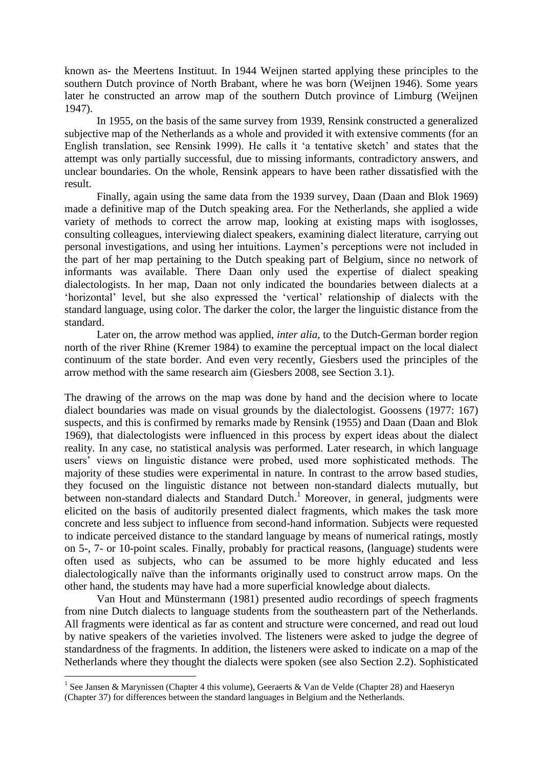known as- the Meertens Instituut. In 1944 Weijnen started applying these principles to the southern Dutch province of North Brabant, where he was born (Weijnen 1946). Some years later he constructed an arrow map of the southern Dutch province of Limburg (Weijnen 1947).

In 1955, on the basis of the same survey from 1939, Rensink constructed a generalized subjective map of the Netherlands as a whole and provided it with extensive comments (for an English translation, see Rensink 1999). He calls it 'a tentative sketch' and states that the attempt was only partially successful, due to missing informants, contradictory answers, and unclear boundaries. On the whole, Rensink appears to have been rather dissatisfied with the result.

Finally, again using the same data from the 1939 survey, Daan (Daan and Blok 1969) made a definitive map of the Dutch speaking area. For the Netherlands, she applied a wide variety of methods to correct the arrow map, looking at existing maps with isoglosses, consulting colleagues, interviewing dialect speakers, examining dialect literature, carrying out personal investigations, and using her intuitions. Laymen's perceptions were not included in the part of her map pertaining to the Dutch speaking part of Belgium, since no network of informants was available. There Daan only used the expertise of dialect speaking dialectologists. In her map, Daan not only indicated the boundaries between dialects at a 'horizontal' level, but she also expressed the 'vertical' relationship of dialects with the standard language, using color. The darker the color, the larger the linguistic distance from the standard.

Later on, the arrow method was applied, *inter alia*, to the Dutch-German border region north of the river Rhine (Kremer 1984) to examine the perceptual impact on the local dialect continuum of the state border. And even very recently, Giesbers used the principles of the arrow method with the same research aim (Giesbers 2008, see Section 3.1).

The drawing of the arrows on the map was done by hand and the decision where to locate dialect boundaries was made on visual grounds by the dialectologist. Goossens (1977: 167) suspects, and this is confirmed by remarks made by Rensink (1955) and Daan (Daan and Blok 1969), that dialectologists were influenced in this process by expert ideas about the dialect reality. In any case, no statistical analysis was performed. Later research, in which language users' views on linguistic distance were probed, used more sophisticated methods. The majority of these studies were experimental in nature. In contrast to the arrow based studies, they focused on the linguistic distance not between non-standard dialects mutually, but between non-standard dialects and Standard Dutch.<sup>1</sup> Moreover, in general, judgments were elicited on the basis of auditorily presented dialect fragments, which makes the task more concrete and less subject to influence from second-hand information. Subjects were requested to indicate perceived distance to the standard language by means of numerical ratings, mostly on 5-, 7- or 10-point scales. Finally, probably for practical reasons, (language) students were often used as subjects, who can be assumed to be more highly educated and less dialectologically naïve than the informants originally used to construct arrow maps. On the other hand, the students may have had a more superficial knowledge about dialects.

Van Hout and Münstermann (1981) presented audio recordings of speech fragments from nine Dutch dialects to language students from the southeastern part of the Netherlands. All fragments were identical as far as content and structure were concerned, and read out loud by native speakers of the varieties involved. The listeners were asked to judge the degree of standardness of the fragments. In addition, the listeners were asked to indicate on a map of the Netherlands where they thought the dialects were spoken (see also Section 2.2). Sophisticated

<u>.</u>

<sup>&</sup>lt;sup>1</sup> See Jansen & Marynissen (Chapter 4 this volume), Geeraerts & Van de Velde (Chapter 28) and Haeseryn (Chapter 37) for differences between the standard languages in Belgium and the Netherlands.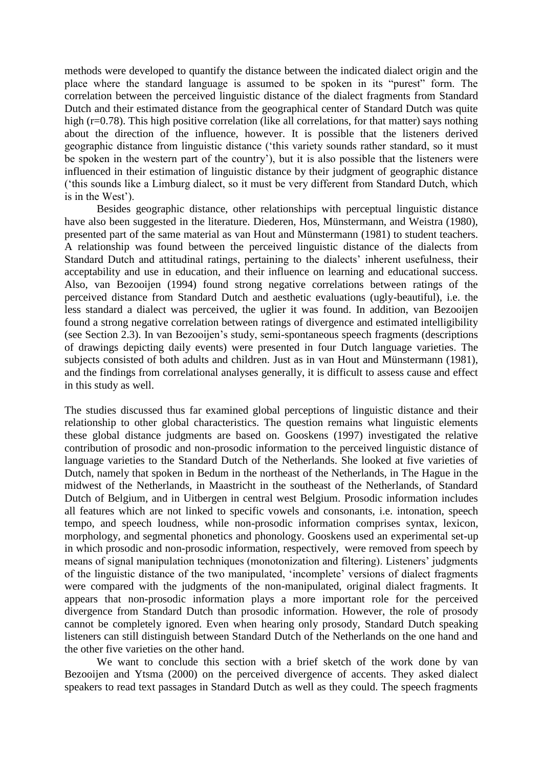methods were developed to quantify the distance between the indicated dialect origin and the place where the standard language is assumed to be spoken in its "purest" form. The correlation between the perceived linguistic distance of the dialect fragments from Standard Dutch and their estimated distance from the geographical center of Standard Dutch was quite high (r=0.78). This high positive correlation (like all correlations, for that matter) says nothing about the direction of the influence, however. It is possible that the listeners derived geographic distance from linguistic distance ('this variety sounds rather standard, so it must be spoken in the western part of the country'), but it is also possible that the listeners were influenced in their estimation of linguistic distance by their judgment of geographic distance ('this sounds like a Limburg dialect, so it must be very different from Standard Dutch, which is in the West').

Besides geographic distance, other relationships with perceptual linguistic distance have also been suggested in the literature. Diederen, Hos, Münstermann, and Weistra (1980), presented part of the same material as van Hout and Münstermann (1981) to student teachers. A relationship was found between the perceived linguistic distance of the dialects from Standard Dutch and attitudinal ratings, pertaining to the dialects' inherent usefulness, their acceptability and use in education, and their influence on learning and educational success. Also, van Bezooijen (1994) found strong negative correlations between ratings of the perceived distance from Standard Dutch and aesthetic evaluations (ugly-beautiful), i.e. the less standard a dialect was perceived, the uglier it was found. In addition, van Bezooijen found a strong negative correlation between ratings of divergence and estimated intelligibility (see Section 2.3). In van Bezooijen's study, semi-spontaneous speech fragments (descriptions of drawings depicting daily events) were presented in four Dutch language varieties. The subjects consisted of both adults and children. Just as in van Hout and Münstermann (1981), and the findings from correlational analyses generally, it is difficult to assess cause and effect in this study as well.

The studies discussed thus far examined global perceptions of linguistic distance and their relationship to other global characteristics. The question remains what linguistic elements these global distance judgments are based on. Gooskens (1997) investigated the relative contribution of prosodic and non-prosodic information to the perceived linguistic distance of language varieties to the Standard Dutch of the Netherlands. She looked at five varieties of Dutch, namely that spoken in Bedum in the northeast of the Netherlands, in The Hague in the midwest of the Netherlands, in Maastricht in the southeast of the Netherlands, of Standard Dutch of Belgium, and in Uitbergen in central west Belgium. Prosodic information includes all features which are not linked to specific vowels and consonants, i.e. intonation, speech tempo, and speech loudness, while non-prosodic information comprises syntax, lexicon, morphology, and segmental phonetics and phonology. Gooskens used an experimental set-up in which prosodic and non-prosodic information, respectively, were removed from speech by means of signal manipulation techniques (monotonization and filtering). Listeners' judgments of the linguistic distance of the two manipulated, 'incomplete' versions of dialect fragments were compared with the judgments of the non-manipulated, original dialect fragments. It appears that non-prosodic information plays a more important role for the perceived divergence from Standard Dutch than prosodic information. However, the role of prosody cannot be completely ignored. Even when hearing only prosody, Standard Dutch speaking listeners can still distinguish between Standard Dutch of the Netherlands on the one hand and the other five varieties on the other hand.

We want to conclude this section with a brief sketch of the work done by van Bezooijen and Ytsma (2000) on the perceived divergence of accents. They asked dialect speakers to read text passages in Standard Dutch as well as they could. The speech fragments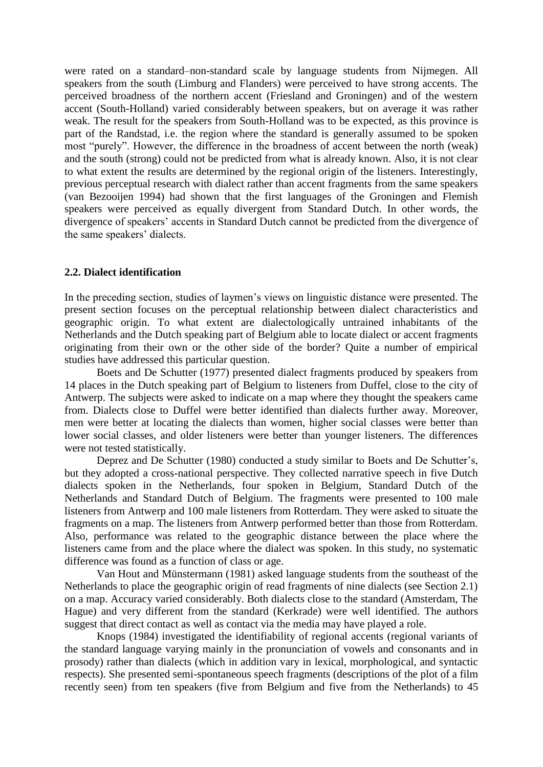were rated on a standard–non-standard scale by language students from Nijmegen. All speakers from the south (Limburg and Flanders) were perceived to have strong accents. The perceived broadness of the northern accent (Friesland and Groningen) and of the western accent (South-Holland) varied considerably between speakers, but on average it was rather weak. The result for the speakers from South-Holland was to be expected, as this province is part of the Randstad, i.e. the region where the standard is generally assumed to be spoken most "purely". However, the difference in the broadness of accent between the north (weak) and the south (strong) could not be predicted from what is already known. Also, it is not clear to what extent the results are determined by the regional origin of the listeners. Interestingly, previous perceptual research with dialect rather than accent fragments from the same speakers (van Bezooijen 1994) had shown that the first languages of the Groningen and Flemish speakers were perceived as equally divergent from Standard Dutch. In other words, the divergence of speakers' accents in Standard Dutch cannot be predicted from the divergence of the same speakers' dialects.

# **2.2. Dialect identification**

In the preceding section, studies of laymen's views on linguistic distance were presented. The present section focuses on the perceptual relationship between dialect characteristics and geographic origin. To what extent are dialectologically untrained inhabitants of the Netherlands and the Dutch speaking part of Belgium able to locate dialect or accent fragments originating from their own or the other side of the border? Quite a number of empirical studies have addressed this particular question.

Boets and De Schutter (1977) presented dialect fragments produced by speakers from 14 places in the Dutch speaking part of Belgium to listeners from Duffel, close to the city of Antwerp. The subjects were asked to indicate on a map where they thought the speakers came from. Dialects close to Duffel were better identified than dialects further away. Moreover, men were better at locating the dialects than women, higher social classes were better than lower social classes, and older listeners were better than younger listeners. The differences were not tested statistically.

Deprez and De Schutter (1980) conducted a study similar to Boets and De Schutter's, but they adopted a cross-national perspective. They collected narrative speech in five Dutch dialects spoken in the Netherlands, four spoken in Belgium, Standard Dutch of the Netherlands and Standard Dutch of Belgium. The fragments were presented to 100 male listeners from Antwerp and 100 male listeners from Rotterdam. They were asked to situate the fragments on a map. The listeners from Antwerp performed better than those from Rotterdam. Also, performance was related to the geographic distance between the place where the listeners came from and the place where the dialect was spoken. In this study, no systematic difference was found as a function of class or age.

Van Hout and Münstermann (1981) asked language students from the southeast of the Netherlands to place the geographic origin of read fragments of nine dialects (see Section 2.1) on a map. Accuracy varied considerably. Both dialects close to the standard (Amsterdam, The Hague) and very different from the standard (Kerkrade) were well identified. The authors suggest that direct contact as well as contact via the media may have played a role.

Knops (1984) investigated the identifiability of regional accents (regional variants of the standard language varying mainly in the pronunciation of vowels and consonants and in prosody) rather than dialects (which in addition vary in lexical, morphological, and syntactic respects). She presented semi-spontaneous speech fragments (descriptions of the plot of a film recently seen) from ten speakers (five from Belgium and five from the Netherlands) to 45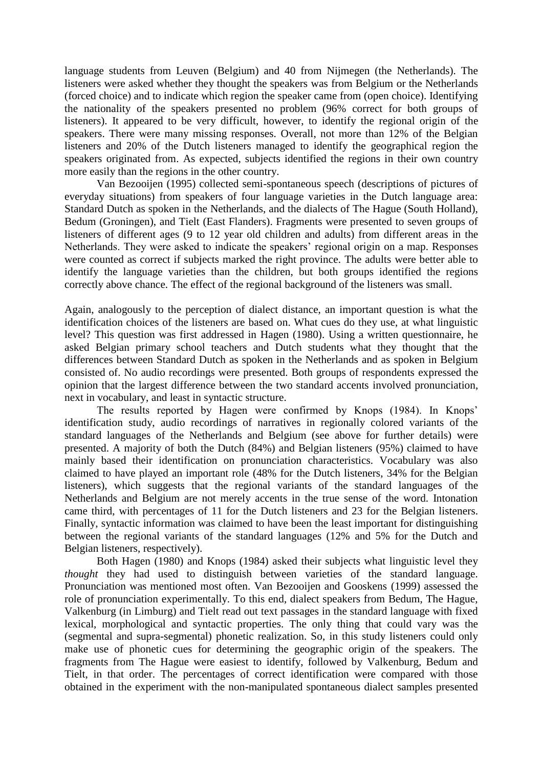language students from Leuven (Belgium) and 40 from Nijmegen (the Netherlands). The listeners were asked whether they thought the speakers was from Belgium or the Netherlands (forced choice) and to indicate which region the speaker came from (open choice). Identifying the nationality of the speakers presented no problem (96% correct for both groups of listeners). It appeared to be very difficult, however, to identify the regional origin of the speakers. There were many missing responses. Overall, not more than 12% of the Belgian listeners and 20% of the Dutch listeners managed to identify the geographical region the speakers originated from. As expected, subjects identified the regions in their own country more easily than the regions in the other country.

Van Bezooijen (1995) collected semi-spontaneous speech (descriptions of pictures of everyday situations) from speakers of four language varieties in the Dutch language area: Standard Dutch as spoken in the Netherlands, and the dialects of The Hague (South Holland), Bedum (Groningen), and Tielt (East Flanders). Fragments were presented to seven groups of listeners of different ages (9 to 12 year old children and adults) from different areas in the Netherlands. They were asked to indicate the speakers' regional origin on a map. Responses were counted as correct if subjects marked the right province. The adults were better able to identify the language varieties than the children, but both groups identified the regions correctly above chance. The effect of the regional background of the listeners was small.

Again, analogously to the perception of dialect distance, an important question is what the identification choices of the listeners are based on. What cues do they use, at what linguistic level? This question was first addressed in Hagen (1980). Using a written questionnaire, he asked Belgian primary school teachers and Dutch students what they thought that the differences between Standard Dutch as spoken in the Netherlands and as spoken in Belgium consisted of. No audio recordings were presented. Both groups of respondents expressed the opinion that the largest difference between the two standard accents involved pronunciation, next in vocabulary, and least in syntactic structure.

The results reported by Hagen were confirmed by Knops (1984). In Knops' identification study, audio recordings of narratives in regionally colored variants of the standard languages of the Netherlands and Belgium (see above for further details) were presented. A majority of both the Dutch (84%) and Belgian listeners (95%) claimed to have mainly based their identification on pronunciation characteristics. Vocabulary was also claimed to have played an important role (48% for the Dutch listeners, 34% for the Belgian listeners), which suggests that the regional variants of the standard languages of the Netherlands and Belgium are not merely accents in the true sense of the word. Intonation came third, with percentages of 11 for the Dutch listeners and 23 for the Belgian listeners. Finally, syntactic information was claimed to have been the least important for distinguishing between the regional variants of the standard languages (12% and 5% for the Dutch and Belgian listeners, respectively).

Both Hagen (1980) and Knops (1984) asked their subjects what linguistic level they *thought* they had used to distinguish between varieties of the standard language. Pronunciation was mentioned most often. Van Bezooijen and Gooskens (1999) assessed the role of pronunciation experimentally. To this end, dialect speakers from Bedum, The Hague, Valkenburg (in Limburg) and Tielt read out text passages in the standard language with fixed lexical, morphological and syntactic properties. The only thing that could vary was the (segmental and supra-segmental) phonetic realization. So, in this study listeners could only make use of phonetic cues for determining the geographic origin of the speakers. The fragments from The Hague were easiest to identify, followed by Valkenburg, Bedum and Tielt, in that order. The percentages of correct identification were compared with those obtained in the experiment with the non-manipulated spontaneous dialect samples presented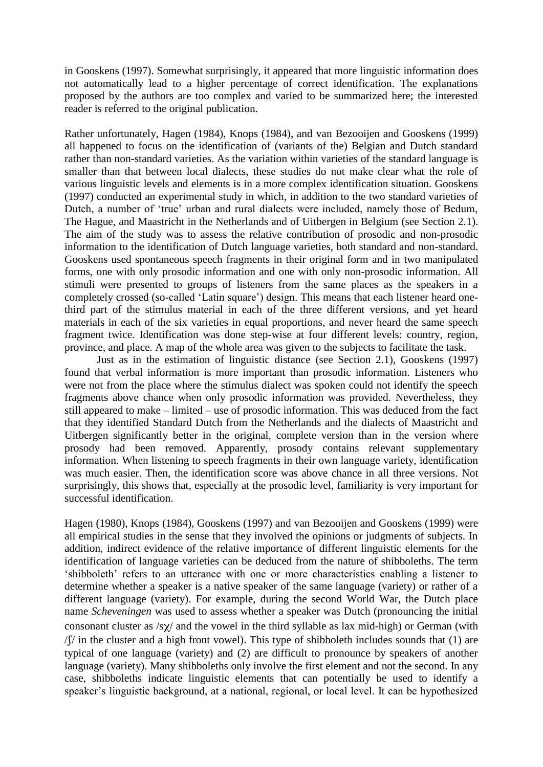in Gooskens (1997). Somewhat surprisingly, it appeared that more linguistic information does not automatically lead to a higher percentage of correct identification. The explanations proposed by the authors are too complex and varied to be summarized here; the interested reader is referred to the original publication.

Rather unfortunately, Hagen (1984), Knops (1984), and van Bezooijen and Gooskens (1999) all happened to focus on the identification of (variants of the) Belgian and Dutch standard rather than non-standard varieties. As the variation within varieties of the standard language is smaller than that between local dialects, these studies do not make clear what the role of various linguistic levels and elements is in a more complex identification situation. Gooskens (1997) conducted an experimental study in which, in addition to the two standard varieties of Dutch, a number of 'true' urban and rural dialects were included, namely those of Bedum, The Hague, and Maastricht in the Netherlands and of Uitbergen in Belgium (see Section 2.1). The aim of the study was to assess the relative contribution of prosodic and non-prosodic information to the identification of Dutch language varieties, both standard and non-standard. Gooskens used spontaneous speech fragments in their original form and in two manipulated forms, one with only prosodic information and one with only non-prosodic information. All stimuli were presented to groups of listeners from the same places as the speakers in a completely crossed (so-called 'Latin square') design. This means that each listener heard onethird part of the stimulus material in each of the three different versions, and yet heard materials in each of the six varieties in equal proportions, and never heard the same speech fragment twice. Identification was done step-wise at four different levels: country, region, province, and place. A map of the whole area was given to the subjects to facilitate the task.

Just as in the estimation of linguistic distance (see Section 2.1), Gooskens (1997) found that verbal information is more important than prosodic information. Listeners who were not from the place where the stimulus dialect was spoken could not identify the speech fragments above chance when only prosodic information was provided. Nevertheless, they still appeared to make – limited – use of prosodic information. This was deduced from the fact that they identified Standard Dutch from the Netherlands and the dialects of Maastricht and Uitbergen significantly better in the original, complete version than in the version where prosody had been removed. Apparently, prosody contains relevant supplementary information. When listening to speech fragments in their own language variety, identification was much easier. Then, the identification score was above chance in all three versions. Not surprisingly, this shows that, especially at the prosodic level, familiarity is very important for successful identification.

Hagen (1980), Knops (1984), Gooskens (1997) and van Bezooijen and Gooskens (1999) were all empirical studies in the sense that they involved the opinions or judgments of subjects. In addition, indirect evidence of the relative importance of different linguistic elements for the identification of language varieties can be deduced from the nature of shibboleths. The term 'shibboleth' refers to an utterance with one or more characteristics enabling a listener to determine whether a speaker is a native speaker of the same language (variety) or rather of a different language (variety). For example, during the second World War, the Dutch place name *Scheveningen* was used to assess whether a speaker was Dutch (pronouncing the initial consonant cluster as  $\frac{1}{2}$  and the vowel in the third syllable as lax mid-high) or German (with  $\sqrt{f}$  in the cluster and a high front vowel). This type of shibboleth includes sounds that (1) are typical of one language (variety) and (2) are difficult to pronounce by speakers of another language (variety). Many shibboleths only involve the first element and not the second. In any case, shibboleths indicate linguistic elements that can potentially be used to identify a speaker's linguistic background, at a national, regional, or local level. It can be hypothesized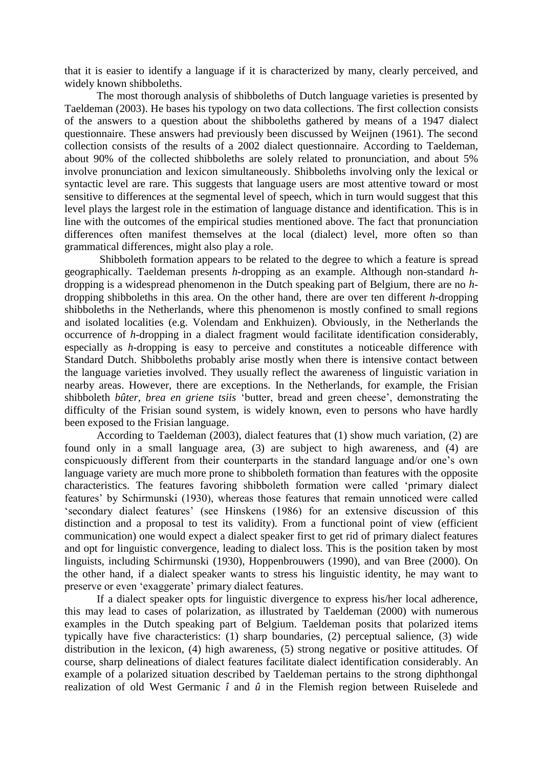that it is easier to identify a language if it is characterized by many, clearly perceived, and widely known shibboleths.

The most thorough analysis of shibboleths of Dutch language varieties is presented by Taeldeman (2003). He bases his typology on two data collections. The first collection consists of the answers to a question about the shibboleths gathered by means of a 1947 dialect questionnaire. These answers had previously been discussed by Weijnen (1961). The second collection consists of the results of a 2002 dialect questionnaire. According to Taeldeman, about 90% of the collected shibboleths are solely related to pronunciation, and about 5% involve pronunciation and lexicon simultaneously. Shibboleths involving only the lexical or syntactic level are rare. This suggests that language users are most attentive toward or most sensitive to differences at the segmental level of speech, which in turn would suggest that this level plays the largest role in the estimation of language distance and identification. This is in line with the outcomes of the empirical studies mentioned above. The fact that pronunciation differences often manifest themselves at the local (dialect) level, more often so than grammatical differences, might also play a role.

Shibboleth formation appears to be related to the degree to which a feature is spread geographically. Taeldeman presents *h*-dropping as an example. Although non-standard *h*dropping is a widespread phenomenon in the Dutch speaking part of Belgium, there are no *h*dropping shibboleths in this area. On the other hand, there are over ten different *h*-dropping shibboleths in the Netherlands, where this phenomenon is mostly confined to small regions and isolated localities (e.g. Volendam and Enkhuizen). Obviously, in the Netherlands the occurrence of *h*-dropping in a dialect fragment would facilitate identification considerably, especially as *h*-dropping is easy to perceive and constitutes a noticeable difference with Standard Dutch. Shibboleths probably arise mostly when there is intensive contact between the language varieties involved. They usually reflect the awareness of linguistic variation in nearby areas. However, there are exceptions. In the Netherlands, for example, the Frisian shibboleth *bûter, brea en griene tsiis* 'butter, bread and green cheese', demonstrating the difficulty of the Frisian sound system, is widely known, even to persons who have hardly been exposed to the Frisian language.

According to Taeldeman (2003), dialect features that (1) show much variation, (2) are found only in a small language area, (3) are subject to high awareness, and (4) are conspicuously different from their counterparts in the standard language and/or one's own language variety are much more prone to shibboleth formation than features with the opposite characteristics. The features favoring shibboleth formation were called 'primary dialect features' by Schirmunski (1930), whereas those features that remain unnoticed were called 'secondary dialect features' (see Hinskens (1986) for an extensive discussion of this distinction and a proposal to test its validity). From a functional point of view (efficient communication) one would expect a dialect speaker first to get rid of primary dialect features and opt for linguistic convergence, leading to dialect loss. This is the position taken by most linguists, including Schirmunski (1930), Hoppenbrouwers (1990), and van Bree (2000). On the other hand, if a dialect speaker wants to stress his linguistic identity, he may want to preserve or even 'exaggerate' primary dialect features.

If a dialect speaker opts for linguistic divergence to express his/her local adherence, this may lead to cases of polarization, as illustrated by Taeldeman (2000) with numerous examples in the Dutch speaking part of Belgium. Taeldeman posits that polarized items typically have five characteristics: (1) sharp boundaries, (2) perceptual salience, (3) wide distribution in the lexicon, (4) high awareness, (5) strong negative or positive attitudes. Of course, sharp delineations of dialect features facilitate dialect identification considerably. An example of a polarized situation described by Taeldeman pertains to the strong diphthongal realization of old West Germanic *î* and *û* in the Flemish region between Ruiselede and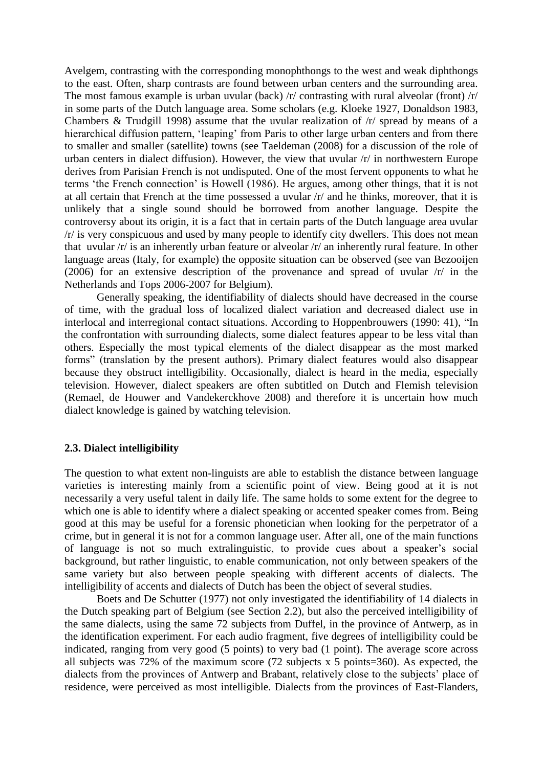Avelgem, contrasting with the corresponding monophthongs to the west and weak diphthongs to the east. Often, sharp contrasts are found between urban centers and the surrounding area. The most famous example is urban uvular (back)  $\pi$  contrasting with rural alveolar (front)  $\pi$ in some parts of the Dutch language area. Some scholars (e.g. Kloeke 1927, Donaldson 1983, Chambers & Trudgill 1998) assume that the uvular realization of /r/ spread by means of a hierarchical diffusion pattern, 'leaping' from Paris to other large urban centers and from there to smaller and smaller (satellite) towns (see Taeldeman (2008) for a discussion of the role of urban centers in dialect diffusion). However, the view that uvular /r/ in northwestern Europe derives from Parisian French is not undisputed. One of the most fervent opponents to what he terms 'the French connection' is Howell (1986). He argues, among other things, that it is not at all certain that French at the time possessed a uvular /r/ and he thinks, moreover, that it is unlikely that a single sound should be borrowed from another language. Despite the controversy about its origin, it is a fact that in certain parts of the Dutch language area uvular /r/ is very conspicuous and used by many people to identify city dwellers. This does not mean that uvular /r/ is an inherently urban feature or alveolar /r/ an inherently rural feature. In other language areas (Italy, for example) the opposite situation can be observed (see van Bezooijen (2006) for an extensive description of the provenance and spread of uvular /r/ in the Netherlands and Tops 2006-2007 for Belgium).

Generally speaking, the identifiability of dialects should have decreased in the course of time, with the gradual loss of localized dialect variation and decreased dialect use in interlocal and interregional contact situations. According to Hoppenbrouwers (1990: 41), "In the confrontation with surrounding dialects, some dialect features appear to be less vital than others. Especially the most typical elements of the dialect disappear as the most marked forms" (translation by the present authors). Primary dialect features would also disappear because they obstruct intelligibility. Occasionally, dialect is heard in the media, especially television. However, dialect speakers are often subtitled on Dutch and Flemish television (Remael, de Houwer and Vandekerckhove 2008) and therefore it is uncertain how much dialect knowledge is gained by watching television.

#### **2.3. Dialect intelligibility**

The question to what extent non-linguists are able to establish the distance between language varieties is interesting mainly from a scientific point of view. Being good at it is not necessarily a very useful talent in daily life. The same holds to some extent for the degree to which one is able to identify where a dialect speaking or accented speaker comes from. Being good at this may be useful for a forensic phonetician when looking for the perpetrator of a crime, but in general it is not for a common language user. After all, one of the main functions of language is not so much extralinguistic, to provide cues about a speaker's social background, but rather linguistic, to enable communication, not only between speakers of the same variety but also between people speaking with different accents of dialects. The intelligibility of accents and dialects of Dutch has been the object of several studies.

Boets and De Schutter (1977) not only investigated the identifiability of 14 dialects in the Dutch speaking part of Belgium (see Section 2.2), but also the perceived intelligibility of the same dialects, using the same 72 subjects from Duffel, in the province of Antwerp, as in the identification experiment. For each audio fragment, five degrees of intelligibility could be indicated, ranging from very good (5 points) to very bad (1 point). The average score across all subjects was 72% of the maximum score (72 subjects x 5 points=360). As expected, the dialects from the provinces of Antwerp and Brabant, relatively close to the subjects' place of residence, were perceived as most intelligible. Dialects from the provinces of East-Flanders,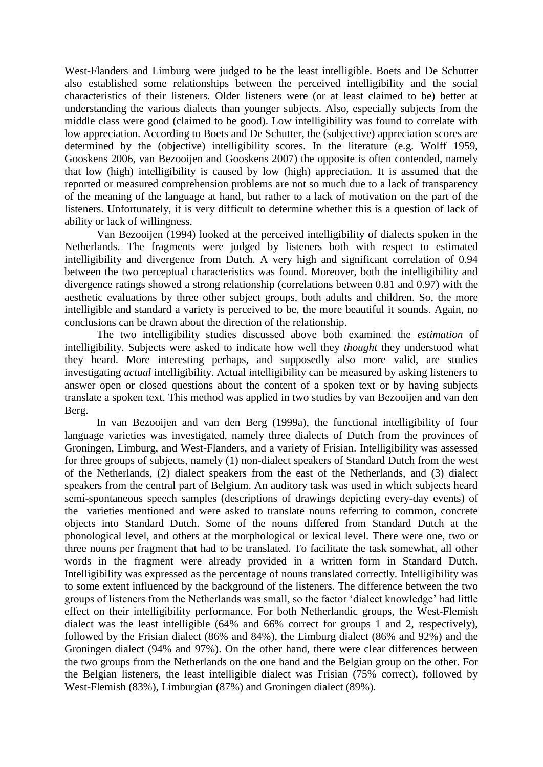West-Flanders and Limburg were judged to be the least intelligible. Boets and De Schutter also established some relationships between the perceived intelligibility and the social characteristics of their listeners. Older listeners were (or at least claimed to be) better at understanding the various dialects than younger subjects. Also, especially subjects from the middle class were good (claimed to be good). Low intelligibility was found to correlate with low appreciation. According to Boets and De Schutter, the (subjective) appreciation scores are determined by the (objective) intelligibility scores. In the literature (e.g. Wolff 1959, Gooskens 2006, van Bezooijen and Gooskens 2007) the opposite is often contended, namely that low (high) intelligibility is caused by low (high) appreciation. It is assumed that the reported or measured comprehension problems are not so much due to a lack of transparency of the meaning of the language at hand, but rather to a lack of motivation on the part of the listeners. Unfortunately, it is very difficult to determine whether this is a question of lack of ability or lack of willingness.

Van Bezooijen (1994) looked at the perceived intelligibility of dialects spoken in the Netherlands. The fragments were judged by listeners both with respect to estimated intelligibility and divergence from Dutch. A very high and significant correlation of 0.94 between the two perceptual characteristics was found. Moreover, both the intelligibility and divergence ratings showed a strong relationship (correlations between 0.81 and 0.97) with the aesthetic evaluations by three other subject groups, both adults and children. So, the more intelligible and standard a variety is perceived to be, the more beautiful it sounds. Again, no conclusions can be drawn about the direction of the relationship.

The two intelligibility studies discussed above both examined the *estimation* of intelligibility. Subjects were asked to indicate how well they *thought* they understood what they heard. More interesting perhaps, and supposedly also more valid, are studies investigating *actual* intelligibility. Actual intelligibility can be measured by asking listeners to answer open or closed questions about the content of a spoken text or by having subjects translate a spoken text. This method was applied in two studies by van Bezooijen and van den Berg.

In van Bezooijen and van den Berg (1999a), the functional intelligibility of four language varieties was investigated, namely three dialects of Dutch from the provinces of Groningen, Limburg, and West-Flanders, and a variety of Frisian. Intelligibility was assessed for three groups of subjects, namely (1) non-dialect speakers of Standard Dutch from the west of the Netherlands, (2) dialect speakers from the east of the Netherlands, and (3) dialect speakers from the central part of Belgium. An auditory task was used in which subjects heard semi-spontaneous speech samples (descriptions of drawings depicting every-day events) of the varieties mentioned and were asked to translate nouns referring to common, concrete objects into Standard Dutch. Some of the nouns differed from Standard Dutch at the phonological level, and others at the morphological or lexical level. There were one, two or three nouns per fragment that had to be translated. To facilitate the task somewhat, all other words in the fragment were already provided in a written form in Standard Dutch. Intelligibility was expressed as the percentage of nouns translated correctly. Intelligibility was to some extent influenced by the background of the listeners. The difference between the two groups of listeners from the Netherlands was small, so the factor 'dialect knowledge' had little effect on their intelligibility performance. For both Netherlandic groups, the West-Flemish dialect was the least intelligible (64% and 66% correct for groups 1 and 2, respectively), followed by the Frisian dialect (86% and 84%), the Limburg dialect (86% and 92%) and the Groningen dialect (94% and 97%). On the other hand, there were clear differences between the two groups from the Netherlands on the one hand and the Belgian group on the other. For the Belgian listeners, the least intelligible dialect was Frisian (75% correct), followed by West-Flemish (83%), Limburgian (87%) and Groningen dialect (89%).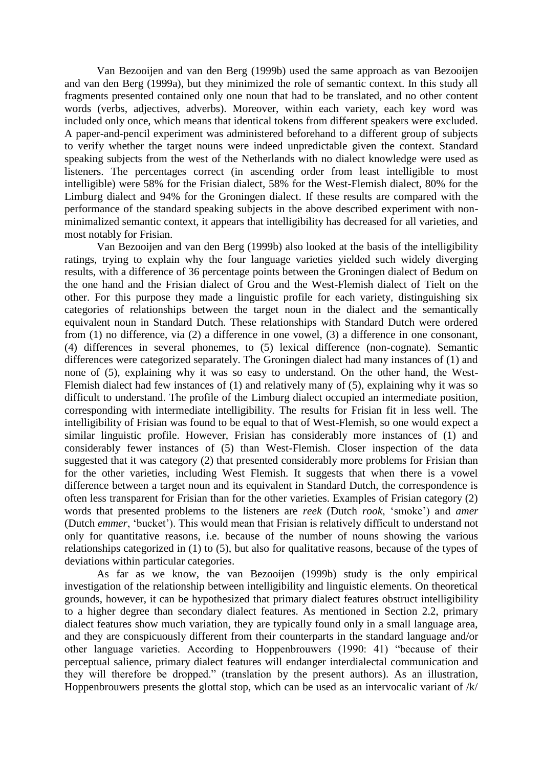Van Bezooijen and van den Berg (1999b) used the same approach as van Bezooijen and van den Berg (1999a), but they minimized the role of semantic context. In this study all fragments presented contained only one noun that had to be translated, and no other content words (verbs, adjectives, adverbs). Moreover, within each variety, each key word was included only once, which means that identical tokens from different speakers were excluded. A paper-and-pencil experiment was administered beforehand to a different group of subjects to verify whether the target nouns were indeed unpredictable given the context. Standard speaking subjects from the west of the Netherlands with no dialect knowledge were used as listeners. The percentages correct (in ascending order from least intelligible to most intelligible) were 58% for the Frisian dialect, 58% for the West-Flemish dialect, 80% for the Limburg dialect and 94% for the Groningen dialect. If these results are compared with the performance of the standard speaking subjects in the above described experiment with nonminimalized semantic context, it appears that intelligibility has decreased for all varieties, and most notably for Frisian.

Van Bezooijen and van den Berg (1999b) also looked at the basis of the intelligibility ratings, trying to explain why the four language varieties yielded such widely diverging results, with a difference of 36 percentage points between the Groningen dialect of Bedum on the one hand and the Frisian dialect of Grou and the West-Flemish dialect of Tielt on the other. For this purpose they made a linguistic profile for each variety, distinguishing six categories of relationships between the target noun in the dialect and the semantically equivalent noun in Standard Dutch. These relationships with Standard Dutch were ordered from (1) no difference, via (2) a difference in one vowel, (3) a difference in one consonant, (4) differences in several phonemes, to (5) lexical difference (non-cognate). Semantic differences were categorized separately. The Groningen dialect had many instances of (1) and none of (5), explaining why it was so easy to understand. On the other hand, the West-Flemish dialect had few instances of (1) and relatively many of (5), explaining why it was so difficult to understand. The profile of the Limburg dialect occupied an intermediate position, corresponding with intermediate intelligibility. The results for Frisian fit in less well. The intelligibility of Frisian was found to be equal to that of West-Flemish, so one would expect a similar linguistic profile. However, Frisian has considerably more instances of (1) and considerably fewer instances of (5) than West-Flemish. Closer inspection of the data suggested that it was category (2) that presented considerably more problems for Frisian than for the other varieties, including West Flemish. It suggests that when there is a vowel difference between a target noun and its equivalent in Standard Dutch, the correspondence is often less transparent for Frisian than for the other varieties. Examples of Frisian category (2) words that presented problems to the listeners are *reek* (Dutch *rook*, 'smoke') and *amer* (Dutch *emmer*, 'bucket'). This would mean that Frisian is relatively difficult to understand not only for quantitative reasons, i.e. because of the number of nouns showing the various relationships categorized in (1) to (5), but also for qualitative reasons, because of the types of deviations within particular categories.

As far as we know, the van Bezooijen (1999b) study is the only empirical investigation of the relationship between intelligibility and linguistic elements. On theoretical grounds, however, it can be hypothesized that primary dialect features obstruct intelligibility to a higher degree than secondary dialect features. As mentioned in Section 2.2, primary dialect features show much variation, they are typically found only in a small language area, and they are conspicuously different from their counterparts in the standard language and/or other language varieties. According to Hoppenbrouwers (1990: 41) "because of their perceptual salience, primary dialect features will endanger interdialectal communication and they will therefore be dropped." (translation by the present authors). As an illustration, Hoppenbrouwers presents the glottal stop, which can be used as an intervocalic variant of /k/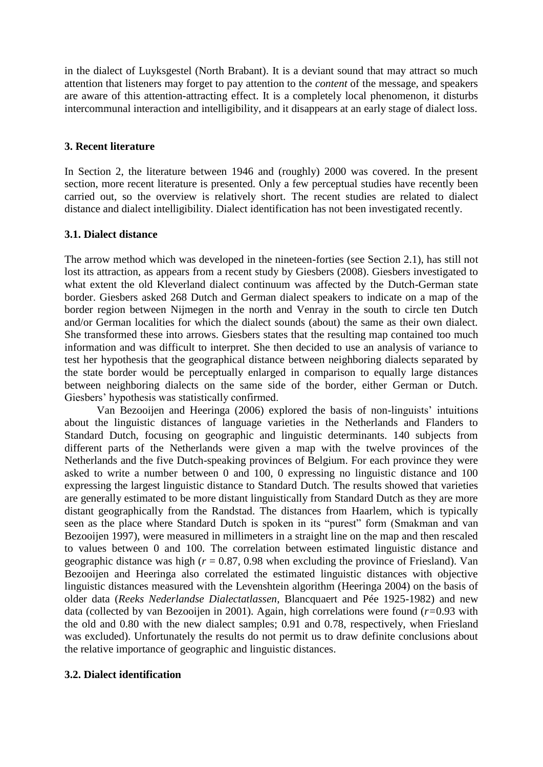in the dialect of Luyksgestel (North Brabant). It is a deviant sound that may attract so much attention that listeners may forget to pay attention to the *content* of the message, and speakers are aware of this attention-attracting effect. It is a completely local phenomenon, it disturbs intercommunal interaction and intelligibility, and it disappears at an early stage of dialect loss.

# **3. Recent literature**

In Section 2, the literature between 1946 and (roughly) 2000 was covered. In the present section, more recent literature is presented. Only a few perceptual studies have recently been carried out, so the overview is relatively short. The recent studies are related to dialect distance and dialect intelligibility. Dialect identification has not been investigated recently.

# **3.1. Dialect distance**

The arrow method which was developed in the nineteen-forties (see Section 2.1), has still not lost its attraction, as appears from a recent study by Giesbers (2008). Giesbers investigated to what extent the old Kleverland dialect continuum was affected by the Dutch-German state border. Giesbers asked 268 Dutch and German dialect speakers to indicate on a map of the border region between Nijmegen in the north and Venray in the south to circle ten Dutch and/or German localities for which the dialect sounds (about) the same as their own dialect. She transformed these into arrows. Giesbers states that the resulting map contained too much information and was difficult to interpret. She then decided to use an analysis of variance to test her hypothesis that the geographical distance between neighboring dialects separated by the state border would be perceptually enlarged in comparison to equally large distances between neighboring dialects on the same side of the border, either German or Dutch. Giesbers' hypothesis was statistically confirmed.

Van Bezooijen and Heeringa (2006) explored the basis of non-linguists' intuitions about the linguistic distances of language varieties in the Netherlands and Flanders to Standard Dutch, focusing on geographic and linguistic determinants. 140 subjects from different parts of the Netherlands were given a map with the twelve provinces of the Netherlands and the five Dutch-speaking provinces of Belgium. For each province they were asked to write a number between 0 and 100, 0 expressing no linguistic distance and 100 expressing the largest linguistic distance to Standard Dutch. The results showed that varieties are generally estimated to be more distant linguistically from Standard Dutch as they are more distant geographically from the Randstad. The distances from Haarlem, which is typically seen as the place where Standard Dutch is spoken in its "purest" form (Smakman and van Bezooijen 1997), were measured in millimeters in a straight line on the map and then rescaled to values between 0 and 100. The correlation between estimated linguistic distance and geographic distance was high  $(r = 0.87, 0.98)$  when excluding the province of Friesland). Van Bezooijen and Heeringa also correlated the estimated linguistic distances with objective linguistic distances measured with the Levenshtein algorithm (Heeringa 2004) on the basis of older data (*Reeks Nederlandse Dialectatlassen*, Blancquaert and Pée 1925-1982) and new data (collected by van Bezooijen in 2001). Again, high correlations were found (*r=*0.93 with the old and 0.80 with the new dialect samples; 0.91 and 0.78, respectively, when Friesland was excluded). Unfortunately the results do not permit us to draw definite conclusions about the relative importance of geographic and linguistic distances.

# **3.2. Dialect identification**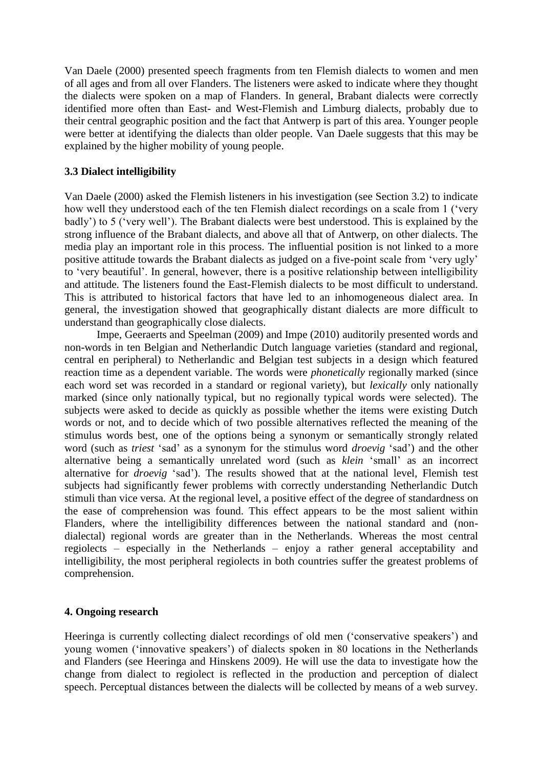Van Daele (2000) presented speech fragments from ten Flemish dialects to women and men of all ages and from all over Flanders. The listeners were asked to indicate where they thought the dialects were spoken on a map of Flanders. In general, Brabant dialects were correctly identified more often than East- and West-Flemish and Limburg dialects, probably due to their central geographic position and the fact that Antwerp is part of this area. Younger people were better at identifying the dialects than older people. Van Daele suggests that this may be explained by the higher mobility of young people.

# **3.3 Dialect intelligibility**

Van Daele (2000) asked the Flemish listeners in his investigation (see Section 3.2) to indicate how well they understood each of the ten Flemish dialect recordings on a scale from 1 ('very badly') to 5 ('very well'). The Brabant dialects were best understood. This is explained by the strong influence of the Brabant dialects, and above all that of Antwerp, on other dialects. The media play an important role in this process. The influential position is not linked to a more positive attitude towards the Brabant dialects as judged on a five-point scale from 'very ugly' to 'very beautiful'. In general, however, there is a positive relationship between intelligibility and attitude. The listeners found the East-Flemish dialects to be most difficult to understand. This is attributed to historical factors that have led to an inhomogeneous dialect area. In general, the investigation showed that geographically distant dialects are more difficult to understand than geographically close dialects.

Impe, Geeraerts and Speelman (2009) and Impe (2010) auditorily presented words and non-words in ten Belgian and Netherlandic Dutch language varieties (standard and regional, central en peripheral) to Netherlandic and Belgian test subjects in a design which featured reaction time as a dependent variable. The words were *phonetically* regionally marked (since each word set was recorded in a standard or regional variety), but *lexically* only nationally marked (since only nationally typical, but no regionally typical words were selected). The subjects were asked to decide as quickly as possible whether the items were existing Dutch words or not, and to decide which of two possible alternatives reflected the meaning of the stimulus words best, one of the options being a synonym or semantically strongly related word (such as *triest* 'sad' as a synonym for the stimulus word *droevig* 'sad') and the other alternative being a semantically unrelated word (such as *klein* 'small' as an incorrect alternative for *droevig* 'sad'). The results showed that at the national level, Flemish test subjects had significantly fewer problems with correctly understanding Netherlandic Dutch stimuli than vice versa. At the regional level, a positive effect of the degree of standardness on the ease of comprehension was found. This effect appears to be the most salient within Flanders, where the intelligibility differences between the national standard and (nondialectal) regional words are greater than in the Netherlands. Whereas the most central regiolects – especially in the Netherlands – enjoy a rather general acceptability and intelligibility, the most peripheral regiolects in both countries suffer the greatest problems of comprehension.

# **4. Ongoing research**

Heeringa is currently collecting dialect recordings of old men ('conservative speakers') and young women ('innovative speakers') of dialects spoken in 80 locations in the Netherlands and Flanders (see Heeringa and Hinskens 2009). He will use the data to investigate how the change from dialect to regiolect is reflected in the production and perception of dialect speech. Perceptual distances between the dialects will be collected by means of a web survey.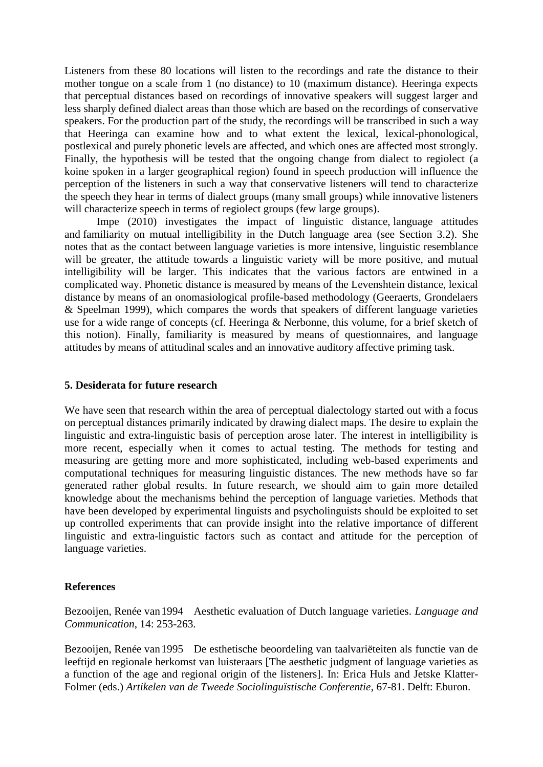Listeners from these 80 locations will listen to the recordings and rate the distance to their mother tongue on a scale from 1 (no distance) to 10 (maximum distance). Heeringa expects that perceptual distances based on recordings of innovative speakers will suggest larger and less sharply defined dialect areas than those which are based on the recordings of conservative speakers. For the production part of the study, the recordings will be transcribed in such a way that Heeringa can examine how and to what extent the lexical, lexical-phonological, postlexical and purely phonetic levels are affected, and which ones are affected most strongly. Finally, the hypothesis will be tested that the ongoing change from dialect to regiolect (a koine spoken in a larger geographical region) found in speech production will influence the perception of the listeners in such a way that conservative listeners will tend to characterize the speech they hear in terms of dialect groups (many small groups) while innovative listeners will characterize speech in terms of regiolect groups (few large groups).

Impe (2010) investigates the impact of linguistic distance, language attitudes and familiarity on mutual intelligibility in the Dutch language area (see Section 3.2). She notes that as the contact between language varieties is more intensive, linguistic resemblance will be greater, the attitude towards a linguistic variety will be more positive, and mutual intelligibility will be larger. This indicates that the various factors are entwined in a complicated way. Phonetic distance is measured by means of the Levenshtein distance, lexical distance by means of an onomasiological profile-based methodology (Geeraerts, Grondelaers & Speelman 1999), which compares the words that speakers of different language varieties use for a wide range of concepts (cf. Heeringa & Nerbonne, this volume, for a brief sketch of this notion). Finally, familiarity is measured by means of questionnaires, and language attitudes by means of attitudinal scales and an innovative auditory affective priming task.

# **5. Desiderata for future research**

We have seen that research within the area of perceptual dialectology started out with a focus on perceptual distances primarily indicated by drawing dialect maps. The desire to explain the linguistic and extra-linguistic basis of perception arose later. The interest in intelligibility is more recent, especially when it comes to actual testing. The methods for testing and measuring are getting more and more sophisticated, including web-based experiments and computational techniques for measuring linguistic distances. The new methods have so far generated rather global results. In future research, we should aim to gain more detailed knowledge about the mechanisms behind the perception of language varieties. Methods that have been developed by experimental linguists and psycholinguists should be exploited to set up controlled experiments that can provide insight into the relative importance of different linguistic and extra-linguistic factors such as contact and attitude for the perception of language varieties.

# **References**

Bezooijen, Renée van1994 Aesthetic evaluation of Dutch language varieties. *Language and Communication*, 14: 253-263.

Bezooijen, Renée van1995 De esthetische beoordeling van taalvariëteiten als functie van de leeftijd en regionale herkomst van luisteraars [The aesthetic judgment of language varieties as a function of the age and regional origin of the listeners]. In: Erica Huls and Jetske Klatter-Folmer (eds.) *Artikelen van de Tweede Sociolinguïstische Conferentie*, 67-81. Delft: Eburon.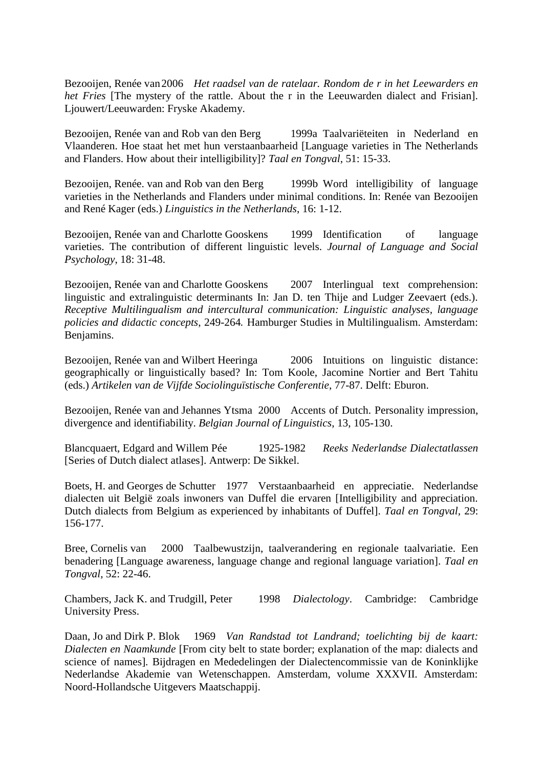Bezooijen, Renée van2006 *Het raadsel van de ratelaar. Rondom de r in het Leewarders en het Fries* [The mystery of the rattle. About the r in the Leeuwarden dialect and Frisian]. Ljouwert/Leeuwarden: Fryske Akademy.

Bezooijen, Renée van and Rob van den Berg 1999a Taalvariëteiten in Nederland en Vlaanderen. Hoe staat het met hun verstaanbaarheid [Language varieties in The Netherlands and Flanders. How about their intelligibility]? *Taal en Tongval*, 51: 15-33.

Bezooijen, Renée. van and Rob van den Berg 1999b Word intelligibility of language varieties in the Netherlands and Flanders under minimal conditions. In: Renée van Bezooijen and René Kager (eds.) *Linguistics in the Netherlands*, 16: 1-12.

Bezooijen, Renée van and Charlotte Gooskens 1999 Identification of language varieties. The contribution of different linguistic levels. *Journal of Language and Social Psychology*, 18: 31-48.

Bezooijen, Renée van and Charlotte Gooskens 2007 Interlingual text comprehension: linguistic and extralinguistic determinants In: Jan D. ten Thije and Ludger Zeevaert (eds.). *Receptive Multilingualism and intercultural communication: Linguistic analyses, language policies and didactic concepts*, 249-264*.* Hamburger Studies in Multilingualism. Amsterdam: Benjamins.

Bezooijen, Renée van and Wilbert Heeringa 2006 Intuitions on linguistic distance: geographically or linguistically based? In: Tom Koole, Jacomine Nortier and Bert Tahitu (eds.) *Artikelen van de Vijfde Sociolinguïstische Conferentie*, 77-87. Delft: Eburon.

Bezooijen, Renée van and Jehannes Ytsma 2000 Accents of Dutch. Personality impression, divergence and identifiability. *Belgian Journal of Linguistics*, 13, 105-130.

Blancquaert, Edgard and Willem Pée 1925-1982 *Reeks Nederlandse Dialectatlassen* [Series of Dutch dialect atlases]. Antwerp: De Sikkel.

Boets, H. and Georges de Schutter 1977 Verstaanbaarheid en appreciatie. Nederlandse dialecten uit België zoals inwoners van Duffel die ervaren [Intelligibility and appreciation. Dutch dialects from Belgium as experienced by inhabitants of Duffel]. *Taal en Tongval,* 29: 156-177.

Bree, Cornelis van 2000 Taalbewustzijn, taalverandering en regionale taalvariatie. Een benadering [Language awareness, language change and regional language variation]. *Taal en Tongval*, 52: 22-46.

Chambers, Jack K. and Trudgill, Peter 1998 *Dialectology*. Cambridge: Cambridge University Press.

Daan, Jo and Dirk P. Blok 1969 *Van Randstad tot Landrand; toelichting bij de kaart: Dialecten en Naamkunde* [From city belt to state border; explanation of the map: dialects and science of names]*.* Bijdragen en Mededelingen der Dialectencommissie van de Koninklijke Nederlandse Akademie van Wetenschappen. Amsterdam, volume XXXVII. Amsterdam: Noord-Hollandsche Uitgevers Maatschappij.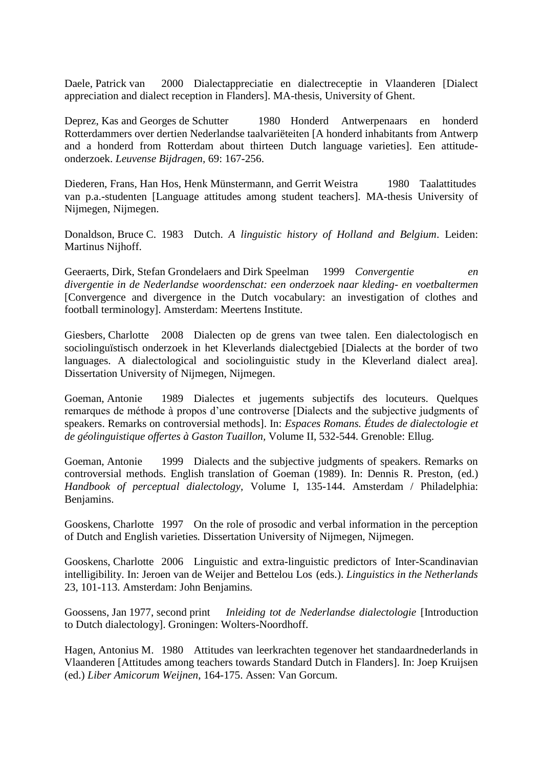Daele, Patrick van 2000 Dialectappreciatie en dialectreceptie in Vlaanderen [Dialect appreciation and dialect reception in Flanders]. MA-thesis, University of Ghent.

Deprez, Kas and Georges de Schutter 1980 Honderd Antwerpenaars en honderd Rotterdammers over dertien Nederlandse taalvariëteiten [A honderd inhabitants from Antwerp and a honderd from Rotterdam about thirteen Dutch language varieties]. Een attitudeonderzoek. *Leuvense Bijdragen,* 69: 167-256.

Diederen, Frans, Han Hos, Henk Münstermann, and Gerrit Weistra 1980 Taalattitudes van p.a.-studenten [Language attitudes among student teachers]. MA-thesis University of Nijmegen, Nijmegen.

Donaldson, Bruce C. 1983 Dutch. *A linguistic history of Holland and Belgium*. Leiden: Martinus Nijhoff.

Geeraerts, Dirk, Stefan Grondelaers and Dirk Speelman 1999 *Convergentie en divergentie in de Nederlandse woordenschat: een onderzoek naar kleding- en voetbaltermen*  [Convergence and divergence in the Dutch vocabulary: an investigation of clothes and football terminology]. Amsterdam: Meertens Institute.

Giesbers, Charlotte 2008 Dialecten op de grens van twee talen. Een dialectologisch en sociolinguïstisch onderzoek in het Kleverlands dialectgebied [Dialects at the border of two languages. A dialectological and sociolinguistic study in the Kleverland dialect area]. Dissertation University of Nijmegen, Nijmegen.

Goeman, Antonie 1989 Dialectes et jugements subjectifs des locuteurs. Quelques remarques de méthode à propos d'une controverse [Dialects and the subjective judgments of speakers. Remarks on controversial methods]. In: *Espaces Romans. Études de dialectologie et de géolinguistique offertes à Gaston Tuaillon,* Volume II, 532-544. Grenoble: Ellug.

Goeman, Antonie 1999 Dialects and the subjective judgments of speakers. Remarks on controversial methods. English translation of Goeman (1989). In: Dennis R. Preston, (ed.) *Handbook of perceptual dialectology,* Volume I, 135-144. Amsterdam / Philadelphia: Benjamins.

Gooskens, Charlotte 1997 On the role of prosodic and verbal information in the perception of Dutch and English varieties*.* Dissertation University of Nijmegen, Nijmegen.

Gooskens, Charlotte 2006 Linguistic and extra-linguistic predictors of Inter-Scandinavian intelligibility. In: Jeroen van de Weijer and Bettelou Los (eds.). *Linguistics in the Netherlands*  23, 101-113. Amsterdam: John Benjamins*.*

Goossens, Jan 1977, second print *Inleiding tot de Nederlandse dialectologie* [Introduction to Dutch dialectology]. Groningen: Wolters-Noordhoff.

Hagen, Antonius M. 1980 Attitudes van leerkrachten tegenover het standaardnederlands in Vlaanderen [Attitudes among teachers towards Standard Dutch in Flanders]. In: Joep Kruijsen (ed.) *Liber Amicorum Weijnen*, 164-175. Assen: Van Gorcum.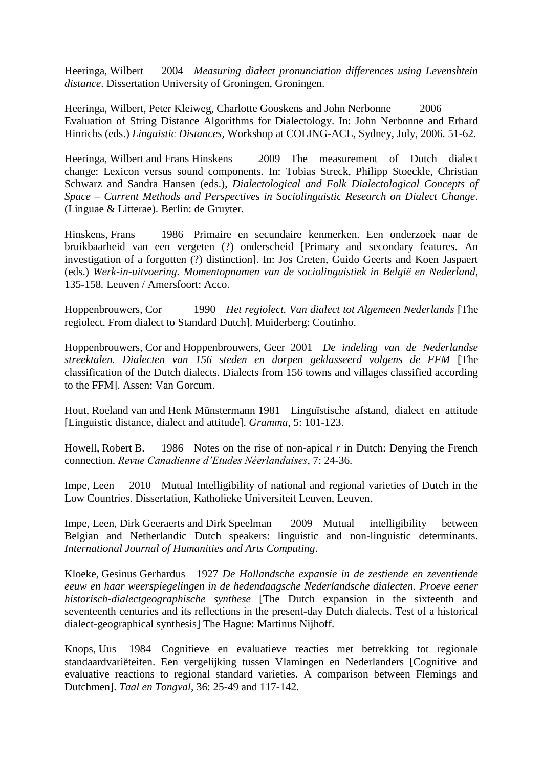Heeringa, Wilbert 2004 *Measuring dialect pronunciation differences using Levenshtein distance*. Dissertation University of Groningen, Groningen.

Heeringa, Wilbert, Peter Kleiweg, Charlotte Gooskens and John Nerbonne 2006 [Evaluation of String Distance Algorithms for Dialectology.](http://urd.let.rug.nl/nerbonne/papers/heeringa-et-al-coling-2006.pdf) In: John Nerbonne and Erhard Hinrichs (eds.) *Linguistic Distances,* Workshop at COLING-ACL, Sydney, July, 2006. 51-62.

Heeringa, Wilbert and Frans Hinskens 2009 The measurement of Dutch dialect change: Lexicon versus sound components. In: Tobias Streck, Philipp Stoeckle, Christian Schwarz and Sandra Hansen (eds.), *Dialectological and Folk Dialectological Concepts of Space – Current Methods and Perspectives in Sociolinguistic Research on Dialect Change*. (Linguae & Litterae). Berlin: de Gruyter.

Hinskens, Frans 1986 Primaire en secundaire kenmerken. Een onderzoek naar de bruikbaarheid van een vergeten (?) onderscheid [Primary and secondary features. An investigation of a forgotten (?) distinction]. In: Jos Creten, Guido Geerts and Koen Jaspaert (eds.) *Werk-in-uitvoering. Momentopnamen van de sociolinguistiek in België en Nederland*, 135-158*.* Leuven / Amersfoort: Acco.

Hoppenbrouwers, Cor 1990 *Het regiolect. Van dialect tot Algemeen Nederlands* [The regiolect. From dialect to Standard Dutch]. Muiderberg: Coutinho.

Hoppenbrouwers, Cor and Hoppenbrouwers, Geer 2001 *De indeling van de Nederlandse streektalen. Dialecten van 156 steden en dorpen geklasseerd volgens de FFM* [The classification of the Dutch dialects. Dialects from 156 towns and villages classified according to the FFM]. Assen: Van Gorcum.

Hout, Roeland van and Henk Münstermann 1981 Linguïstische afstand, dialect en attitude [Linguistic distance, dialect and attitude]. *Gramma*, 5: 101-123.

Howell, Robert B. 1986 Notes on the rise of non-apical *r* in Dutch: Denying the French connection. *Revue Canadienne d'Etudes Néerlandaises*, 7: 24-36.

Impe, Leen 2010 Mutual Intelligibility of national and regional varieties of Dutch in the Low Countries. Dissertation, Katholieke Universiteit Leuven, Leuven.

Impe, Leen, Dirk Geeraerts and Dirk Speelman 2009 Mutual intelligibility between Belgian and Netherlandic Dutch speakers: linguistic and non-linguistic determinants. *International Journal of Humanities and Arts Computing*.

Kloeke, Gesinus Gerhardus 1927 *De Hollandsche expansie in de zestiende en zeventiende eeuw en haar weerspiegelingen in de hedendaagsche Nederlandsche dialecten. Proeve eener historisch-dialectgeographische synthese* [The Dutch expansion in the sixteenth and seventeenth centuries and its reflections in the present-day Dutch dialects. Test of a historical dialect-geographical synthesis] The Hague: Martinus Nijhoff.

Knops, Uus 1984 Cognitieve en evaluatieve reacties met betrekking tot regionale standaardvariëteiten. Een vergelijking tussen Vlamingen en Nederlanders [Cognitive and evaluative reactions to regional standard varieties. A comparison between Flemings and Dutchmen]. *Taal en Tongval,* 36: 25-49 and 117-142.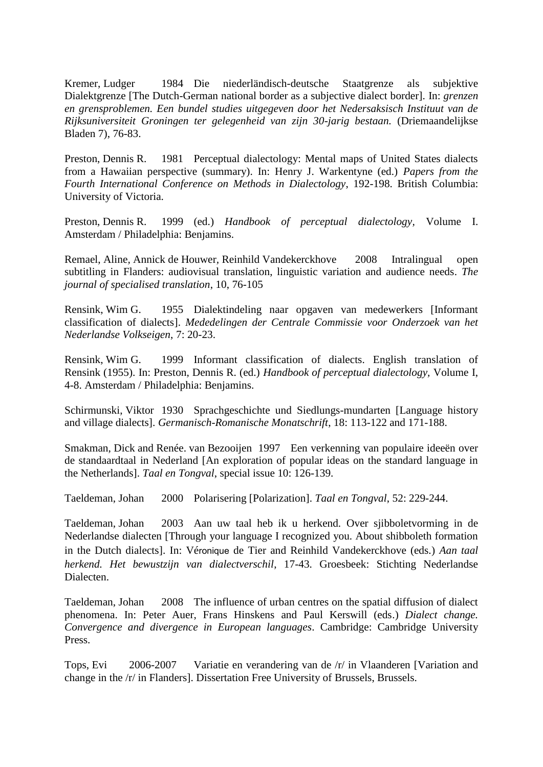Kremer, Ludger 1984 Die niederländisch-deutsche Staatgrenze als subjektive Dialektgrenze [The Dutch-German national border as a subjective dialect border]. In: *grenzen en grensproblemen. Een bundel studies uitgegeven door het Nedersaksisch Instituut van de Rijksuniversiteit Groningen ter gelegenheid van zijn 30-jarig bestaan.* (Driemaandelijkse Bladen 7), 76-83.

Preston, Dennis R. 1981 Perceptual dialectology: Mental maps of United States dialects from a Hawaiian perspective (summary). In: Henry J. Warkentyne (ed.) *Papers from the Fourth International Conference on Methods in Dialectology*, 192-198. British Columbia: University of Victoria.

Preston, Dennis R. 1999 (ed.) *Handbook of perceptual dialectology,* Volume I. Amsterdam / Philadelphia: Benjamins.

Remael, Aline*,* Annick de Houwer*,* Reinhild Vandekerckhove 2008 Intralingual open subtitling in Flanders: audiovisual translation, linguistic variation and audience needs. *The journal of specialised translation*, 10, 76-105

Rensink, Wim G. 1955 Dialektindeling naar opgaven van medewerkers [Informant classification of dialects]. *Mededelingen der Centrale Commissie voor Onderzoek van het Nederlandse Volkseigen*, 7: 20-23.

Rensink, Wim G. 1999 Informant classification of dialects. English translation of Rensink (1955). In: Preston, Dennis R. (ed.) *Handbook of perceptual dialectology,* Volume I, 4-8. Amsterdam / Philadelphia: Benjamins.

Schirmunski, Viktor 1930 Sprachgeschichte und Siedlungs-mundarten [Language history and village dialects]. *Germanisch-Romanische Monatschrift*, 18: 113-122 and 171-188.

Smakman, Dick and Renée. van Bezooijen 1997 Een verkenning van populaire ideeën over de standaardtaal in Nederland [An exploration of popular ideas on the standard language in the Netherlands]. *Taal en Tongval*, special issue 10: 126-139.

Taeldeman, Johan 2000 Polarisering [Polarization]. *Taal en Tongval*, 52: 229-244.

Taeldeman, Johan 2003 Aan uw taal heb ik u herkend. Over sjibboletvorming in de Nederlandse dialecten [Through your language I recognized you. About shibboleth formation in the Dutch dialects]. In: Véronique de Tier and Reinhild Vandekerckhove (eds.) *Aan taal herkend. Het bewustzijn van dialectverschil*, 17-43. Groesbeek: Stichting Nederlandse Dialecten.

Taeldeman, Johan 2008 The influence of urban centres on the spatial diffusion of dialect phenomena. In: Peter Auer, Frans Hinskens and Paul Kerswill (eds.) *Dialect change. Convergence and divergence in European languages*. Cambridge: Cambridge University Press.

Tops, Evi 2006-2007 Variatie en verandering van de /r/ in Vlaanderen [Variation and change in the /r/ in Flanders]. Dissertation Free University of Brussels, Brussels.